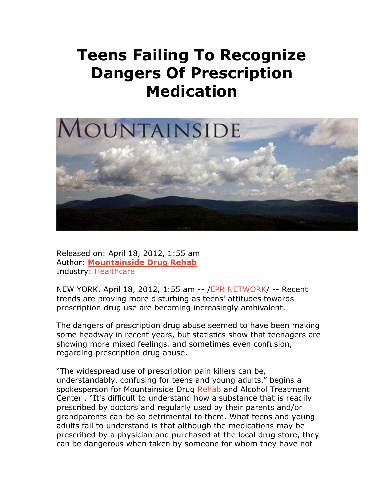## **Teens Failing To Recognize Dangers Of Prescription Medication**



Released on: April 18, 2012, 1:55 am Author: **Mountainside Drug Rehab** Industry: Healthcare

NEW YORK, April 18, 2012, 1:55 am -- /EPR NETWORK/ -- Recent trends are proving more disturbing as teens' attitudes towards prescription drug use are becoming increasingly ambivalent.

The dangers of prescription drug abuse seemed to have been making some headway in recent years, but statistics show that teenagers are showing more mixed feelings, and sometimes even confusion, regarding prescription drug abuse.

"The widespread use of prescription pain killers can be, understandably, confusing for teens and young adults," begins a spokesperson for Mountainside Drug Rehab and Alcohol Treatment Center . "It's difficult to understand how a substance that is readily prescribed by doctors and regularly used by their parents and/or grandparents can be so detrimental to them. What teens and young adults fail to understand is that although the medications may be prescribed by a physician and purchased at the local drug store, they can be dangerous when taken by someone for whom they have not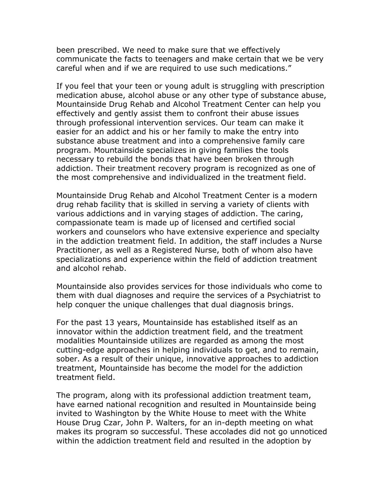been prescribed. We need to make sure that we effectively communicate the facts to teenagers and make certain that we be very careful when and if we are required to use such medications."

If you feel that your teen or young adult is struggling with prescription medication abuse, alcohol abuse or any other type of substance abuse, Mountainside Drug Rehab and Alcohol Treatment Center can help you effectively and gently assist them to confront their abuse issues through professional intervention services. Our team can make it easier for an addict and his or her family to make the entry into substance abuse treatment and into a comprehensive family care program. Mountainside specializes in giving families the tools necessary to rebuild the bonds that have been broken through addiction. Their treatment recovery program is recognized as one of the most comprehensive and individualized in the treatment field.

Mountainside Drug Rehab and Alcohol Treatment Center is a modern drug rehab facility that is skilled in serving a variety of clients with various addictions and in varying stages of addiction. The caring, compassionate team is made up of licensed and certified social workers and counselors who have extensive experience and specialty in the addiction treatment field. In addition, the staff includes a Nurse Practitioner, as well as a Registered Nurse, both of whom also have specializations and experience within the field of addiction treatment and alcohol rehab.

Mountainside also provides services for those individuals who come to them with dual diagnoses and require the services of a Psychiatrist to help conquer the unique challenges that dual diagnosis brings.

For the past 13 years, Mountainside has established itself as an innovator within the addiction treatment field, and the treatment modalities Mountainside utilizes are regarded as among the most cutting-edge approaches in helping individuals to get, and to remain, sober. As a result of their unique, innovative approaches to addiction treatment, Mountainside has become the model for the addiction treatment field.

The program, along with its professional addiction treatment team, have earned national recognition and resulted in Mountainside being invited to Washington by the White House to meet with the White House Drug Czar, John P. Walters, for an in-depth meeting on what makes its program so successful. These accolades did not go unnoticed within the addiction treatment field and resulted in the adoption by